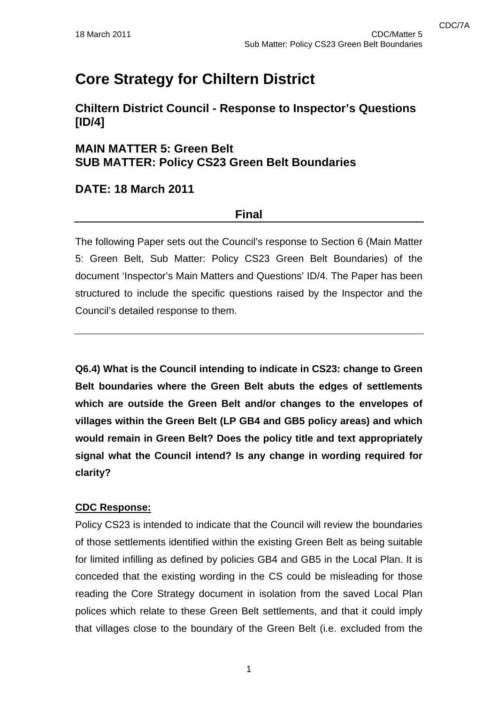# **Core Strategy for Chiltern District**

**Chiltern District Council - Response to Inspector's Questions [ID/4]** 

# **MAIN MATTER 5: Green Belt SUB MATTER: Policy CS23 Green Belt Boundaries**

## **DATE: 18 March 2011**

## **Final**

The following Paper sets out the Council's response to Section 6 (Main Matter 5: Green Belt, Sub Matter: Policy CS23 Green Belt Boundaries) of the document 'Inspector's Main Matters and Questions' ID/4. The Paper has been structured to include the specific questions raised by the Inspector and the Council's detailed response to them.

**Q6.4) What is the Council intending to indicate in CS23: change to Green Belt boundaries where the Green Belt abuts the edges of settlements which are outside the Green Belt and/or changes to the envelopes of villages within the Green Belt (LP GB4 and GB5 policy areas) and which would remain in Green Belt? Does the policy title and text appropriately signal what the Council intend? Is any change in wording required for clarity?** 

### **CDC Response:**

Policy CS23 is intended to indicate that the Council will review the boundaries of those settlements identified within the existing Green Belt as being suitable for limited infilling as defined by policies GB4 and GB5 in the Local Plan. It is conceded that the existing wording in the CS could be misleading for those reading the Core Strategy document in isolation from the saved Local Plan polices which relate to these Green Belt settlements, and that it could imply that villages close to the boundary of the Green Belt (i.e. excluded from the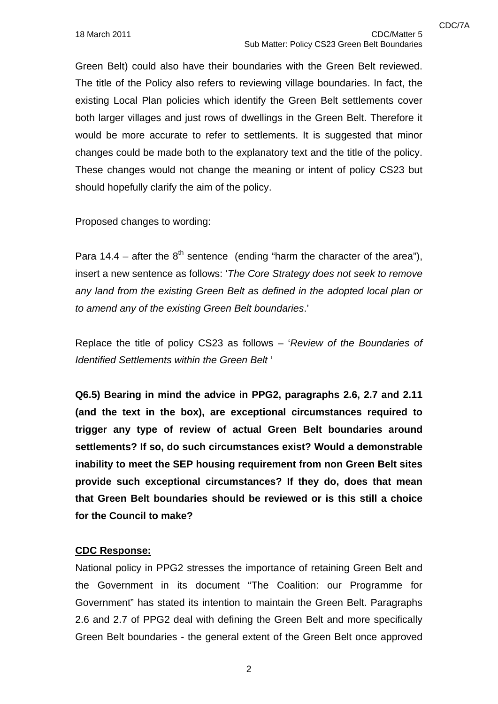Green Belt) could also have their boundaries with the Green Belt reviewed. The title of the Policy also refers to reviewing village boundaries. In fact, the existing Local Plan policies which identify the Green Belt settlements cover both larger villages and just rows of dwellings in the Green Belt. Therefore it would be more accurate to refer to settlements. It is suggested that minor changes could be made both to the explanatory text and the title of the policy. These changes would not change the meaning or intent of policy CS23 but should hopefully clarify the aim of the policy.

Proposed changes to wording:

Para 14.4 – after the  $8<sup>th</sup>$  sentence (ending "harm the character of the area"), insert a new sentence as follows: '*The Core Strategy does not seek to remove any land from the existing Green Belt as defined in the adopted local plan or to amend any of the existing Green Belt boundaries*.'

Replace the title of policy CS23 as follows – '*Review of the Boundaries of Identified Settlements within the Green Belt* '

**Q6.5) Bearing in mind the advice in PPG2, paragraphs 2.6, 2.7 and 2.11 (and the text in the box), are exceptional circumstances required to trigger any type of review of actual Green Belt boundaries around settlements? If so, do such circumstances exist? Would a demonstrable inability to meet the SEP housing requirement from non Green Belt sites provide such exceptional circumstances? If they do, does that mean that Green Belt boundaries should be reviewed or is this still a choice for the Council to make?** 

#### **CDC Response:**

National policy in PPG2 stresses the importance of retaining Green Belt and the Government in its document "The Coalition: our Programme for Government" has stated its intention to maintain the Green Belt. Paragraphs 2.6 and 2.7 of PPG2 deal with defining the Green Belt and more specifically Green Belt boundaries - the general extent of the Green Belt once approved

2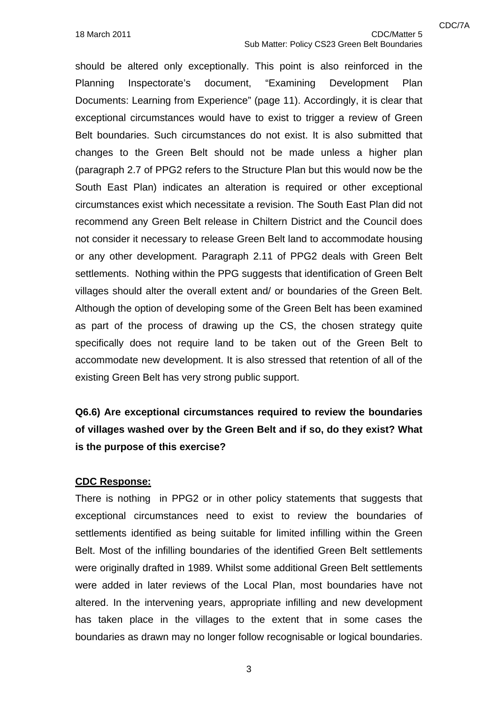should be altered only exceptionally. This point is also reinforced in the Planning Inspectorate's document, "Examining Development Plan Documents: Learning from Experience" (page 11). Accordingly, it is clear that exceptional circumstances would have to exist to trigger a review of Green Belt boundaries. Such circumstances do not exist. It is also submitted that changes to the Green Belt should not be made unless a higher plan (paragraph 2.7 of PPG2 refers to the Structure Plan but this would now be the South East Plan) indicates an alteration is required or other exceptional circumstances exist which necessitate a revision. The South East Plan did not recommend any Green Belt release in Chiltern District and the Council does not consider it necessary to release Green Belt land to accommodate housing or any other development. Paragraph 2.11 of PPG2 deals with Green Belt settlements. Nothing within the PPG suggests that identification of Green Belt villages should alter the overall extent and/ or boundaries of the Green Belt. Although the option of developing some of the Green Belt has been examined as part of the process of drawing up the CS, the chosen strategy quite specifically does not require land to be taken out of the Green Belt to accommodate new development. It is also stressed that retention of all of the existing Green Belt has very strong public support.

**Q6.6) Are exceptional circumstances required to review the boundaries of villages washed over by the Green Belt and if so, do they exist? What is the purpose of this exercise?** 

#### **CDC Response:**

There is nothing in PPG2 or in other policy statements that suggests that exceptional circumstances need to exist to review the boundaries of settlements identified as being suitable for limited infilling within the Green Belt. Most of the infilling boundaries of the identified Green Belt settlements were originally drafted in 1989. Whilst some additional Green Belt settlements were added in later reviews of the Local Plan, most boundaries have not altered. In the intervening years, appropriate infilling and new development has taken place in the villages to the extent that in some cases the boundaries as drawn may no longer follow recognisable or logical boundaries.

3